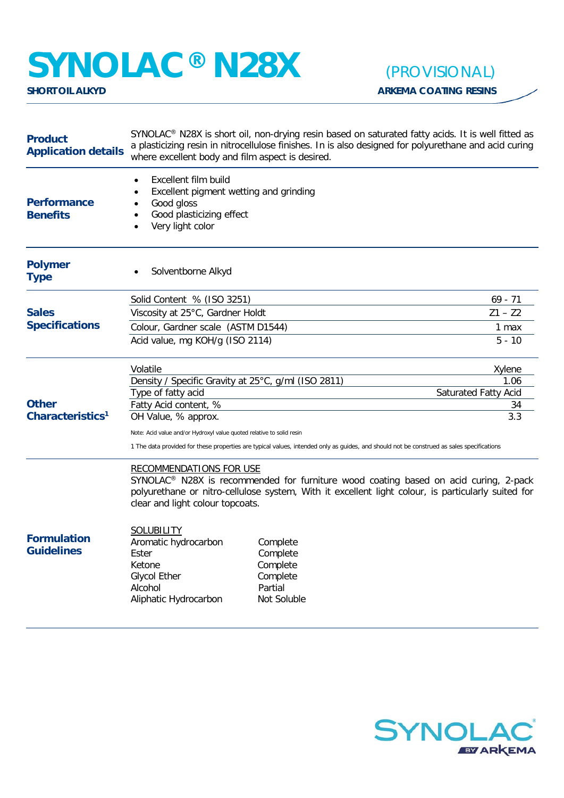## **SYNOLAC<sup>®</sup> N28X** *(PROVISIONAL)*<br>SHORT OIL ALKYD

| <b>Product</b><br><b>Application details</b> | SYNOLAC <sup>®</sup> N28X is short oil, non-drying resin based on saturated fatty acids. It is well fitted as<br>a plasticizing resin in nitrocellulose finishes. In is also designed for polyurethane and acid curing<br>where excellent body and film aspect is desired.                                                                                                                                                                                                        |  |                             |
|----------------------------------------------|-----------------------------------------------------------------------------------------------------------------------------------------------------------------------------------------------------------------------------------------------------------------------------------------------------------------------------------------------------------------------------------------------------------------------------------------------------------------------------------|--|-----------------------------|
| <b>Performance</b><br><b>Benefits</b>        | Excellent film build<br>Excellent pigment wetting and grinding<br>$\bullet$<br>Good gloss<br>$\bullet$<br>Good plasticizing effect<br>Very light color                                                                                                                                                                                                                                                                                                                            |  |                             |
| <b>Polymer</b><br><b>Type</b>                | Solventborne Alkyd                                                                                                                                                                                                                                                                                                                                                                                                                                                                |  |                             |
|                                              | Solid Content % (ISO 3251)                                                                                                                                                                                                                                                                                                                                                                                                                                                        |  | $69 - 71$                   |
| <b>Sales</b>                                 | Viscosity at 25°C, Gardner Holdt                                                                                                                                                                                                                                                                                                                                                                                                                                                  |  | $Z1 - Z2$                   |
| <b>Specifications</b>                        | Colour, Gardner scale (ASTM D1544)                                                                                                                                                                                                                                                                                                                                                                                                                                                |  | 1 max                       |
|                                              | Acid value, mg KOH/g (ISO 2114)                                                                                                                                                                                                                                                                                                                                                                                                                                                   |  | $5 - 10$                    |
| <b>Other</b><br>Characteristics <sup>1</sup> | Volatile                                                                                                                                                                                                                                                                                                                                                                                                                                                                          |  | Xylene                      |
|                                              | Density / Specific Gravity at 25°C, g/ml (ISO 2811)                                                                                                                                                                                                                                                                                                                                                                                                                               |  | 1.06                        |
|                                              | Type of fatty acid                                                                                                                                                                                                                                                                                                                                                                                                                                                                |  | <b>Saturated Fatty Acid</b> |
|                                              | Fatty Acid content, %                                                                                                                                                                                                                                                                                                                                                                                                                                                             |  | 34<br>3.3                   |
|                                              | OH Value, % approx.                                                                                                                                                                                                                                                                                                                                                                                                                                                               |  |                             |
|                                              | Note: Acid value and/or Hydroxyl value quoted relative to solid resin<br>1 The data provided for these properties are typical values, intended only as guides, and should not be construed as sales specifications                                                                                                                                                                                                                                                                |  |                             |
| <b>Formulation</b><br><b>Guidelines</b>      | <b>RECOMMENDATIONS FOR USE</b><br>SYNOLAC <sup>®</sup> N28X is recommended for furniture wood coating based on acid curing, 2-pack<br>polyurethane or nitro-cellulose system, With it excellent light colour, is particularly suited for<br>clear and light colour topcoats.<br><b>SOLUBILITY</b><br>Aromatic hydrocarbon<br>Complete<br>Ester<br>Complete<br>Ketone<br>Complete<br><b>Glycol Ether</b><br>Complete<br>Alcohol<br>Partial<br>Not Soluble<br>Aliphatic Hydrocarbon |  |                             |